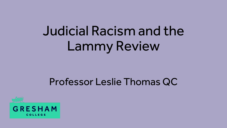# Judicial Racism and the Lammy Review

## Professor Leslie Thomas QC

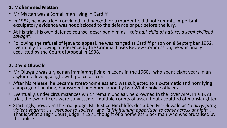#### **1. Mohammed Mattan**

- Mr Mattan was a Somali man living in Cardiff.
- In 1952, he was tried, convicted and hanged for a murder he did not commit. Important exculpatory evidence was not disclosed to the defence or put before the jury.
- At his trial, his own defence counsel described him as, *"this half-child of nature, a semi-civilised savage".*
- Following the refusal of leave to appeal, he was hanged at Cardiff prison on 8 September 1952. Eventually, following a reference by the Criminal Cases Review Commission, he was finally acquitted by the Court of Appeal in 1998.

#### **2. David Oluwale**

- Mr Oluwale was a Nigerian immigrant living in Leeds in the 1960s, who spent eight years in an asylum following a fight with police officers.
- After his release, he became street-homeless and was subjected to a systematic and horrifying campaign of beating, harassment and humiliation by two White police officers.
- Eventually, under circumstances which remain unclear, he drowned in the River Aire. In a 1971 trial, the two officers were convicted of multiple counts of assault but acquitted of manslaughter.
- Startlingly, however, the trial judge, Mr Justice Hinchliffe, described Mr Oluwale as *"a dirty, filthy, violent vagrant",* a "menace to society" and "a frightening apparition to come across at night".<br>That is what a High Court judge in 1971 thought of a homeless Black man who was brutalised by the police.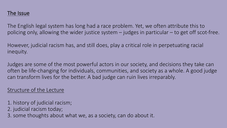#### The Issue

The English legal system has long had a race problem. Yet, we often attribute this to policing only, allowing the wider justice system – judges in particular – to get off scot-free.

However, judicial racism has, and still does, play a critical role in perpetuating racial inequity.

Judges are some of the most powerful actors in our society, and decisions they take can often be life-changing for individuals, communities, and society as a whole. A good judge can transform lives for the better. A bad judge can ruin lives irreparably.

#### Structure of the Lecture

- 1. history of judicial racism;
- 2. judicial racism today;
- 3. some thoughts about what we, as a society, can do about it.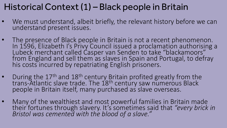### Historical Context (1) – Black people in Britain

- We must understand, albeit briefly, the relevant history before we can understand present issues.
- The presence of Black people in Britain is not a recent phenomenon. In 1596, Elizabeth I's Privy Council issued a proclamation authorising a Lubeck merchant called Casper van Senden to take "blackamoors" from England and sell them as slaves in Spain and Portugal, to defray his costs incurred by repatriating English prisoners.
- During the 17<sup>th</sup> and 18<sup>th</sup> century Britain profited greatly from the trans-Atlantic slave trade. The 1<sup>'</sup>8<sup>th</sup> century saw numerous Black<br>people in Britain itself, many purchased as slave overseas.
- Many of the wealthiest and most powerful families in Britain made their fortunes through slavery. It's sometimes said that *"every brick in Bristol was cemented with the blood of a slave."*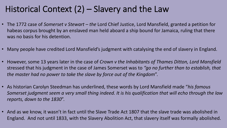### Historical Context (2) – Slavery and the Law

- The 1772 case of *Somerset v Stewart – the* Lord Chief Justice, Lord Mansfield, granted a petition for habeas corpus brought by an enslaved man held aboard a ship bound for Jamaica, ruling that there was no basis for his detention.
- Many people have credited Lord Mansfield's judgment with catalysing the end of slavery in England.
- However, some 13 years later in the case of *Crown v the Inhabitants of Thames Ditton, Lord Mansfield*  stressed that his judgment in the case of James Somerset was to *"go no further than to establish, that the master had no power to take the slave by force out of the Kingdom*".
- As historian Carolyn Steedman has underlined, these words by Lord Mansfield made "*his famous Somerset judgment seem a very small thing indeed. It is his qualification that will echo through the law reports, down to the 1830*".
- And as we know, it wasn't in fact until the Slave Trade Act 1807 that the slave trade was abolished in England. And not until 1833, with the Slavery Abolition Act, that slavery itself was formally abolished.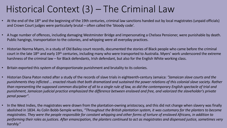## Historical Context (3) – The Criminal Law

- At the end of the 18<sup>th</sup> and the beginning of the 19th centuries, criminal law sanctions handed out by local magistrates (unpaid officials) and Crown Court judges were particularly brutal – often called the 'bloody code'.
- A huge number of offences, including damaging Westminster Bridge and impersonating a Chelsea Pensioner, were punishable by death. Public hangings, transportation to the colonies, and whipping were all everyday practices.
- Historian Norma Myers, in a study of Old Bailey court records, documented the stories of Black people who came before the criminal court in the late 18th and early 19th centuries, including many who were transported to Australia. Myers' work underscored the extreme harshness of the criminal law – for Black defendants, Irish defendant, but also for the English White working class.
- Britain exported this system of disproportionate punishment and brutality to its colonies.
- Historian Diana Paton noted after a study of the records of slave trials in eighteenth-century Jamaica: *"Jamaican slave courts and the punishments they inflicted … enacted rituals that both dramatized and sustained the power relations of this colonial slave society. Rather than representing the supposed common discipline of all to a single rule of law, as did the contemporary English spectacle of trial and punishment, Jamaican judicial practice emphasized the difference between enslaved and free, and valorized the slaveholder's private penal power"*.
- In the West Indies, the magistrates were drawn from the plantation-owning aristocracy, and this did not change when slavery was finally abolished in 1834. As Colin Bobb-Semple writes, *"Throughout the British plantation system, it was customary for the planters to become magistrates. They were the people responsible for constant whipping and other forms of torture of enslaved Africans, in addition to performing their roles as justices. After emancipation, the planters continued to act as magistrates and dispensed justice, sometimes very harshly."*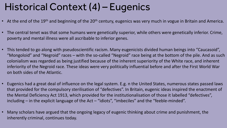## Historical Context (4) – Eugenics

- At the end of the 19<sup>th</sup> and beginning of the 20<sup>th</sup> century, eugenics was very much in vogue in Britain and America.
- The central tenet was that some humans were genetically superior, while others were genetically inferior. Crime, poverty and mental illness were all ascribable to inferior genes.
- This tended to go along with pseudoscientific racism. Many eugenicists divided human beings into "Caucasoid", "Mongoloid" and "Negroid" races – with the so-called "Negroid" race being at the bottom of the pile. And as such colonialism was regarded as being justified because of the inherent superiority of the White race, and inherent inferiority of the Negroid race. These ideas were very politically influential before and after the First World War on both sides of the Atlantic.
- Eugenics had a great deal of influence on the legal system. E.g. n the United States, numerous states passed laws that provided for the compulsory sterilisation of "defectives". In Britain, eugenic ideas inspired the enactment of the Mental Deficiency Act 1913, which provided for the institutionalisation of those it labelled "defectives", including – in the explicit language of the Act – "idiots", "imbeciles" and the "feeble-minded".
- Many scholars have argued that the ongoing legacy of eugenic thinking about crime and punishment, the inherently criminal, continues today.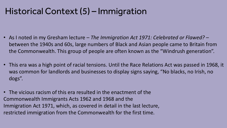### Historical Context (5) – Immigration

- As I noted in my Gresham lecture *The Immigration Act 1971: Celebrated or Flawed? –* between the 1940s and 60s, large numbers of Black and Asian people came to Britain from the Commonwealth. This group of people are often known as the "Windrush generation".
- This era was a high point of racial tensions. Until the Race Relations Act was passed in 1968, it was common for landlords and businesses to display signs saying, "No blacks, no Irish, no dogs".
- The vicious racism of this era resulted in the enactment of the Commonwealth Immigrants Acts 1962 and 1968 and the Immigration Act 1971, which, as covered in detail in the last lecture, restricted immigration from the Commonwealth for the first time.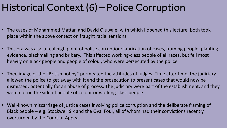## Historical Context (6) – Police Corruption

- The cases of Mohammed Mattan and David Oluwale, with which I opened this lecture, both took place within the above context on fraught racial tensions.
- This era was also a real high point of police corruption: fabrication of cases, framing people, planting evidence, blackmailing and bribery. This affected working-class people of all races, but fell most heavily on Black people and people of colour, who were persecuted by the police.
- Thee image of the "British bobby" permeated the attitudes of judges. Time after time, the judiciary allowed the police to get away with it and the prosecution to present cases that would now be dismissed, potentially for an abuse of process. The judiciary were part of the establishment, and they were not on the side of people of colour or working-class people.
- Well-known miscarriage of justice cases involving police corruption and the deliberate framing of Black people – e.g. Stockwell Six and the Oval Four, all of whom had their convictions recently overturned by the Court of Appeal.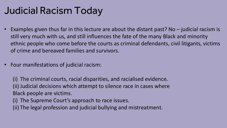## Judicial Racism Today

- Examples given thus far in this lecture are about the distant past? No  $-$  judicial racism is still very much with us, and still influences the fate of the many Black and minority ethnic people who come before the courts as criminal defendants, civil litigants, victims of crime and bereaved families and survivors.
- Four manifestations of judicial racism:

(i) The criminal courts, racial disparities, and racialised evidence. (ii) Judicial decisions which attempt to silence race in cases where Black people are victims.

- (i) The Supreme Court's approach to race issues.
- (ii) The legal profession and judicial bullying and mistreatment.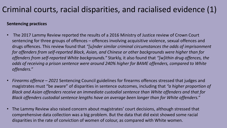#### Criminal courts, racial disparities, and racialised evidence (1)

#### **Sentencing practices**

- The 2017 Lammy Review reported the results of a 2016 Ministry of Justice review of Crown Court sentencing for three groups of offences – offences involving acquisitive violence, sexual offences and drugs offences. This review found that *"[u]nder similar criminal circumstances the odds of imprisonment for offenders from self-reported Black, Asian, and Chinese or other backgrounds were higher than for offenders from self-reported White backgrounds."* Starkly, it also found that *"[w]ithin drug offences, the odds of receiving a prison sentence were around 240% higher for BAME offenders, compared to White offenders."*
- *Firearms offence – 2021* Sentencing Council guidelines for firearms offences stressed that judges and magistrates must "be aware" of disparities in sentence outcomes, including that *"a higher proportion of Black and Asian offenders receive an immediate custodial sentence than White offenders and that for Black offenders custodial sentence lengths have on average been longer than for White offenders."*
- The Lammy Review also raised concern about magistrates' court decisions, although stressed that comprehensive data collection was a big problem. But the data that did exist showed some racial disparities in the rate of conviction of women of colour, as compared with White women.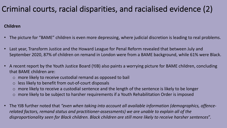#### Criminal courts, racial disparities, and racialised evidence (2)

#### **Children**

- The picture for "BAME" children is even more depressing, where judicial discretion is leading to real problems.
- Last year, Transform Justice and the Howard League for Penal Reform revealed that between July and September 2020, 87% of children on remand in London were from a BAME background, while 61% were Black.
- A recent report by the Youth Justice Board (YJB) also paints a worrying picture for BAME children, concluding that BAME children are:
	- o more likely to receive custodial remand as opposed to bail
	- o less likely to benefit from out-of-court disposals
	- $\circ$  more likely to receive a custodial sentence and the length of the sentence is likely to be longer
	- o more likely to be subject to harsher requirements if a Youth Rehabilitation Order is imposed
- The YJB further noted that *"even when taking into account all available information (demographics, offencerelated factors, remand status and practitioner-assessments) we are unable to explain all of the disproportionality seen for Black children. Black children are still more likely to receive harsher sentences*".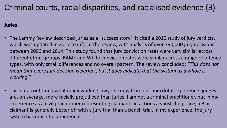#### Criminal courts, racial disparities, and racialised evidence (3)

#### **Juries**

- The Lammy Review described juries as a "success story". It cited a 2010 study of jury verdicts, which was updated in 2017 to inform the review, with analysis of over 390,000 jury decisions between 2006 and 2014. This study found that jury conviction rates were very similar across different ethnic groups. BAME and White conviction rates were similar across a range of offencetypes, with only small differences and no overall pattern. The review concluded: *"This does not mean that every jury decision is perfect, but it does indicate that the system as a whole is working."*
- This data confirmed what many working lawyers know from our anecdotal experience: judges are, on average, more racially prejudiced than juries. I am not a criminal practitioner, but in my experience as a civil practitioner representing claimants in actions against the police, a Black claimant is generally better off with a jury trial than a bench trial. In my experience, the jury system has much to commend it.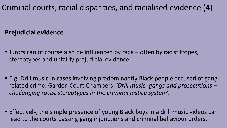#### Criminal courts, racial disparities, and racialised evidence (4)

#### **Prejudicial evidence**

- Jurors can of course also be influenced by race often by racist tropes, stereotypes and unfairly prejudicial evidence.
- E.g. Drill music in cases involving predominantly Black people accused of gangrelated crime. Garden Court Chambers: *'Drill music, gangs and prosecutions – challenging racist stereotypes in the criminal justice system*'.
- Effectively, the simple presence of young Black boys in a drill music videos can lead to the courts passing gang injunctions and criminal behaviour orders.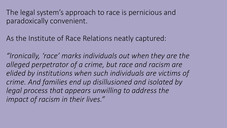The legal system's approach to race is pernicious and paradoxically convenient.

As the Institute of Race Relations neatly captured:

*"Ironically, 'race' marks individuals out when they are the alleged perpetrator of a crime, but race and racism are elided by institutions when such individuals are victims of crime. And families end up disillusioned and isolated by legal process that appears unwilling to address the impact of racism in their lives."*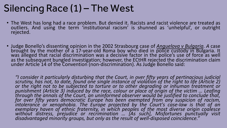## Silencing Race (1) – The West

- The West has long had a race problem. But denied it. Racists and racist violence are treated as outliers. And using the term 'institutional racism' is shunned as 'unhelpful', or outright<br>rejected.
- Judge Bonello's dissenting opinion in the 2002 Strasbourg case of *Anguelova v Bulgaria. A* case brought by the mother of a 17-year-old Roma boy who died in police custody in Bulgaria. It was alleged that racial discrimination was a decisive factor in the police's use of force as well as the subsequent bungled investigation; however, the ECtHR rejected the discrimination claim under Article 14 of the Convention (non-discrimination). As Judge Bonello said:

"I consider it particularly disturbing that the Court, in over fifty years of pertinacious judicial<br>scrutiny, has not, to date, found one single instance of violation of the right to life (Article 2) *or the right not to be subjected to torture or to other degrading or inhuman treatment or* punishment (Article 3) induced by the race, colour or place of origin of the victim ... Leafing<br>through the annals of the Court, an uninformed observer would be justified to conclude that,<br>for over fifty years democratic E *intolerance or xenophobia. The Europe projected by the Court's case-law is that of an exemplary haven of ethnic fraternity, in which peoples of the most diverse origin coalesce without distress, prejudice or recrimination … [As such], Misfortunes punctually visit disadvantaged minority groups, but only as the result of well-disposed coincidence."*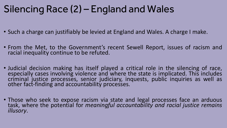## Silencing Race (2) – England and Wales

- Such a charge can justifiably be levied at England and Wales. A charge I make.
- From the Met, to the Government's recent Sewell Report, issues of racism and racial inequality continue to be refuted.
- Judicial decision making has itself played a critical role in the silencing of race, especially cases involving violence and where the state is implicated. This includes criminal justice processes, senior judiciary, inquests, public inquiries as well as other fact-finding and accountability processes.
- Those who seek to expose racism via state and legal processes face an arduous task, where the potential for *meaningful accountability and racial justice remains illusory*.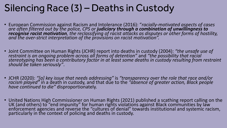## Silencing Race (3) – Deaths in Custody

- European Commission against Racism and Intolerance (2016): "*racially-motivated aspects of cases are often filtered out by the police, CPS or judiciary through a combination of unwillingness to recognise racist motivation, the reclassifying of racist attacks as disputes or other forms of hostility, and the over-strict interpretation of the provisions on racist motivation".*
- Joint Committee on Human Rights (JCHR) report into deaths in custody (2004): *"the unsafe use of*  restraint is an ongoing problem across all forms of detention" and "the possibility that racial<br>stereotyping has been a contributory factor in at least some deaths in custody resulting from restraint *should be taken seriously"*.
- JCHR (2020): *"[a] key issue that needs addressing"* is *"transparency over the role that race and/or racism played"* in a death in custody, and that due to the *"absence of greater action, Black people have continued to die"* disproportionately.
- United Nations High Commissioner on Human Rights (2021) published a scathing report calling on the UK (and others) to "end impunity" for human rights violations against Black communities by law enforcement agencies and reverse the "cultures of denial" towards institutional and systemic racism, particularly in the context of policing and deaths in custody.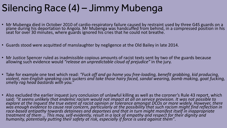## Silencing Race (4) – Jimmy Mubenga

- Mr Mubenga died in October 2010 of cardio-respiratory failure caused by restraint used by three G4S guards on a<br>plane during his deportation to Angola. Mr Mubenga was handcuffed from behind, in a compressed position in h
- Guards stood were acquitted of manslaughter by negligence at the Old Bailey in late 2014.
- Mr Justice Spencer ruled as inadmissible copious amounts of racist texts sent by two of the guards because allowing such evidence would *"release an unpredictable cloud of prejudice"* in the jury.
- Take for example one text which read: "Fuck off and go home you free-loading, benefit grabbing, kid producing,<br>violent, non-English speaking cock suckers and take those hairy faced, sandal wearing, bomb making, goat fuck
- Also excluded the earlier inquest jury conclusion of unlawful killing as well as the coroner's Rule 43 report, which said: "it seems unlikely that endemic racism would not impact at all on service provision. It was not possible to<br>explore at the Inquest the true extent of racist opinion or tolerance amongst DCOs or more widely. However, *was enough evidence to cause real concern, particularly at the possibility that such racism might find reflection in*  treatment of them ... This may, self-evidently, result in a lack of empathy and respect for their dignity and<br>humanity, potentially putting their safety at risk, especially if force is used against them".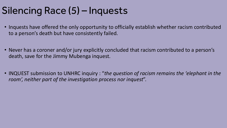## Silencing Race (5) – Inquests

- Inquests have offered the only opportunity to officially establish whether racism contributed to a person's death but have consistently failed.
- Never has a coroner and/or jury explicitly concluded that racism contributed to a person's death, save for the Jimmy Mubenga inquest.
- INQUEST submission to UNHRC inquiry : "*the question of racism remains the 'elephant in the room', neither part of the investigation process nor inquest*".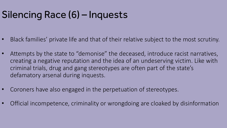## Silencing Race (6) – Inquests

- Black families' private life and that of their relative subject to the most scrutiny.
- Attempts by the state to "demonise" the deceased, introduce racist narratives, creating a negative reputation and the idea of an undeserving victim. Like with criminal trials, drug and gang stereotypes are often part of the state's defamatory arsenal during inquests.
- Coroners have also engaged in the perpetuation of stereotypes.
- Official incompetence, criminality or wrongdoing are cloaked by disinformation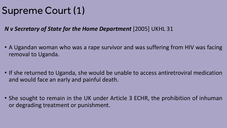## Supreme Court (1)

*N v Secretary of State for the Home Department* [2005] UKHL 31

- A Ugandan woman who was a rape survivor and was suffering from HIV was facing removal to Uganda.
- If she returned to Uganda, she would be unable to access antiretroviral medication and would face an early and painful death.
- She sought to remain in the UK under Article 3 ECHR, the prohibition of inhuman or degrading treatment or punishment.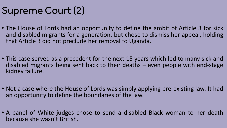## Supreme Court (2)

- The House of Lords had an opportunity to define the ambit of Article 3 for sick and disabled migrants for a generation, but chose to dismiss her appeal, holding that Article 3 did not preclude her removal to Uganda.
- This case served as a precedent for the next 15 years which led to many sick and disabled migrants being sent back to their deaths – even people with end-stage kidney failure.
- Not a case where the House of Lords was simply applying pre-existing law. It had an opportunity to define the boundaries of the law.
- A panel of White judges chose to send a disabled Black woman to her death because she wasn't British.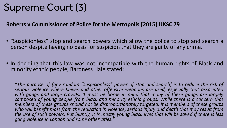## Supreme Court (3)

#### **Roberts v Commissioner of Police for the Metropolis [2015] UKSC 79**

- "Suspicionless" stop and search powers which allow the police to stop and search a person despite having no basis for suspicion that they are guilty of any crime.
- In deciding that this law was not incompatible with the human rights of Black and minority ethnic people, Baroness Hale stated:

*"The purpose of [any random "suspicionless" power of stop and search] is to reduce the risk of serious violence where knives and other offensive weapons are used, especially that associated with gangs and large crowds. It must be borne in mind that many of these gangs are largely composed of young people from black and minority ethnic groups. While there is a concern that members of these groups should not be disproportionately targeted, it is members of these groups who will benefit most from the reduction in violence, serious injury and death that may result from* the use of such powers. Put bluntly, it is mostly young black lives that will be saved if there is less *gang violence in London and some other cities."*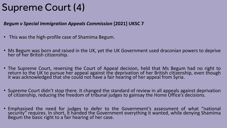## Supreme Court (4)

*Begum v Special Immigration Appeals Commission* **[2021] UKSC 7**

- This was the high-profile case of Shamima Begum.
- Ms Begum was born and raised in the UK, yet the UK Government used draconian powers to deprive her of her British citizenship.
- The Supreme Court, reversing the Court of Appeal decision, held that Ms Begum had no right to return to the UK to pursue her appeal against the deprivation of her British citizenship, even though it was acknowledged that she could not have a fair hearing of her appeal from Syria.
- Supreme Court didn't stop there. It changed the standard of review in all appeals against deprivation of citizenship, reducing the freedom of tribunal judges to gainsay the Home Office's decisions.
- Emphasised the need for judges to defer to the Government's assessment of what "national security" requires. In short, it handed the Government everything it wanted, while denying Shamima Begum the basic right to a fair hearing of her case.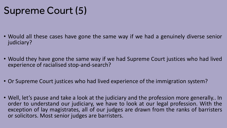## Supreme Court (5)

- Would all these cases have gone the same way if we had a genuinely diverse senior judiciary?
- Would they have gone the same way if we had Supreme Court justices who had lived experience of racialised stop-and-search?
- Or Supreme Court justices who had lived experience of the immigration system?
- Well, let's pause and take a look at the judiciary and the profession more generally.. In order to understand our judiciary, we have to look at our legal profession. With the exception of lay magistrates, all of our judges are drawn from the ranks of barristers or solicitors. Most senior judges are barristers.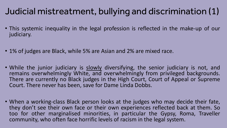## Judicial mistreatment, bullying and discrimination (1)

- This systemic inequality in the legal profession is reflected in the make-up of our judiciary.
- 1% of judges are Black, while 5% are Asian and 2% are mixed race.
- While the junior judiciary is slowly diversifying, the senior judiciary is not, and<br>remains overwhelmingly White, and overwhelmingly from privileged backgrounds. There are currently no Black judges in the High Court, Court of Appeal or Supreme Court. There never has been, save for Dame Linda Dobbs.
- When a working-class Black person looks at the judges who may decide their fate, they don't see their own face or their own experiences reflected back at them. So too for other marginalised minorities, in particular the Gypsy, Roma, Traveller community, who often face horrific levels of racism in the legal system.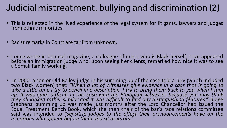### Judicial mistreatment, bullying and discrimination (2)

- This is reflected in the lived experience of the legal system for litigants, lawyers and judges from ethnic minorities.
- Racist remarks in Court are far from unknown.
- I once wrote in Counsel magazine, a colleague of mine, who is Black herself, once appeared <br>before an immigration judge who, upon seeing her clients, remarked how nice it was to see a Somali family working.
- In 2000, a senior Old Bailey judge in his summing up of the case told a jury (which included two Black women) that: *"When a lot of witnesses give evidence in a case that is going to* take a little time I try to pencil in a description. I try to bring them back to you when I sum *up. It was quite difficult in this case with the Ethiopian witnesses because you may think* they all looked rather similar and it was difficult to find any distinguishing features." Judge<br>Stephens' summing up was made just months after the Lord Chancellor had issued the Equal Treatment Bench Book, which the then chair of the bar's race relations committee said was intended to *"sensitise judges to the effect their pronouncements have on the minorities who appear before them and sit as jurors."*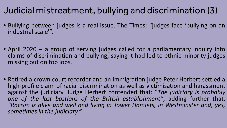## Judicial mistreatment, bullying and discrimination (3)

- Bullying between judges is a real issue. The Times: "judges face 'bullying on an industrial scale'".
- April 2020 a group of serving judges called for a parliamentary inquiry into claims of discrimination and bullying, saying it had led to ethnic minority judges missing out on top jobs.
- Retired a crown court recorder and an immigration judge Peter Herbert settled a high-profile claim of racial discrimination as well as victimisation and harassment against the judiciary. Judge Herbert contended that: "*The judiciary is probably one of the last bastions of the British establishment"*, adding further that, *"Racism is alive and well and living in Tower Hamlets, in Westminster and, yes, sometimes in the judiciary."*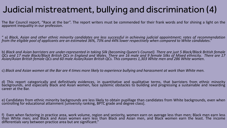### Judicial mistreatment, bullying and discrimination (4)

The Bar Council report, "Race at the bar". The report writers must be commended for their frank words and for shining a light on the apparent inequality in our profession.

" a) Black, Asian and other ethnic minority candidates are less successful in achieving judicial appointment; rates of recommendation from the eligible pool of applicants are an estimated 36%, 73% and 44% lower respectively when compared to White candidates."

b) Black and Asian barristers are under-represented in taking Silk (becoming Queen's Counsel). There are just 5 Black/Black British female QCs and 17 male Black/Black British QCs in England and Wales. There are 16 male and 9 female Silks of Mixed ethnicity. There are 17 Asian/Asian British female QCs and 60 male Asian/Asian British QCs. This compares 1,303 White men and 286 White women.

c) Black and Asian women at the Bar are 4 times more likely to experience bullying and harassment at work than White men.

d) This report categorically and definitively evidences, in quantitative and qualitative terms, that barristers from ethnic minority<br>backgrounds, and especially Black and Asian women, face systemic obstacles to building an career at the Bar.

e) Candidates from ethnic minority backgrounds are less likely to obtain pupillage than candidates from White backgrounds, even when controlling for educational attainment [university ranking, BPTC grade and degree class].

f) Even when factoring in practice area, work volume, region and seniority, women earn on average less than men; Black men earn less than White men; and Black and Asian women earn less than Black and Asian men, and Black women earn the least. The income differentials vary between practice area but are significant."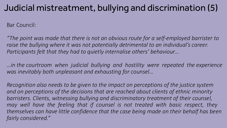### Judicial mistreatment, bullying and discrimination (5)

Bar Council:

*"The point was made that there is not an obvious route for a self-employed barrister to raise the bullying where it was not potentially detrimental to an individual's career. Participants felt that they had to quietly internalise others' behaviour…*

*…in the courtroom when judicial bullying and hostility were repeated the experience was inevitably both unpleasant and exhausting for counsel…*

*Recognition also needs to be given to the impact on perceptions of the justice system and on perceptions of the decisions that are reached about clients of ethnic minority barristers. Clients, witnessing bullying and discriminatory treatment of their counsel,*  may well have the feeling that if counsel is not treated with basic respect, they *themselves can have little confidence that the case being made on their behalf has been fairly considered."*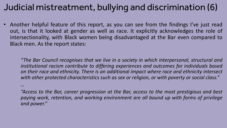### Judicial mistreatment, bullying and discrimination (6)

• Another helpful feature of this report, as you can see from the findings I've just read out, is that it looked at gender as well as race. It explicitly acknowledges the role of intersectionality, with Black women being disadvantaged at the Bar even compared to Black men. As the report states:

*"The Bar Council recognises that we live in a society in which interpersonal, structural and institutional racism contribute to differing experiences and outcomes for individuals based on their race and ethnicity. There is an additional impact where race and ethnicity intersect with other protected characteristics such as sex or religion, or with poverty or social class."*

*…*

*"Access to the Bar, career progression at the Bar, access to the most prestigious and best paying work, retention, and working environment are all bound up with forms of privilege and power."*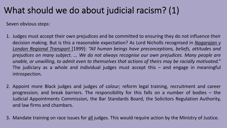## What should we do about judicial racism? (1)

Seven obvious steps:

- 1. Judges must accept their own prejudices and be committed to ensuring they do not influence their decision making. But is this a reasonable expectation? As Lord Nicholls recognised in *Nagarajan v London Regional Transport* [1999]: *"All human beings have preconceptions, beliefs, attitudes and prejudices on many subject. ... We do not always recognise our own prejudices. Many people are unable, or unwilling, to admit even to themselves that actions of theirs may be racially motivated."* The judiciary as a whole and individual judges must accept this – and engage in meaningful introspection.
- 2. Appoint more Black judges and judges of colour; reform legal training, recruitment and career progression; and break barriers. The responsibility for this falls on a number of bodies – the Judicial Appointments Commission, the Bar Standards Board, the Solicitors Regulation Authority, and law firms and chambers.
- 3. Mandate training on race issues for all judges. This would require action by the Ministry of Justice.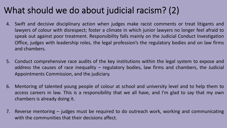### What should we do about judicial racism? (2)

- 4. Swift and decisive disciplinary action when judges make racist comments or treat litigants and lawyers of colour with disrespect; foster a climate in which junior lawyers no longer feel afraid to speak out against poor treatment. Responsibility falls mainly on the Judicial Conduct Investigation Office, judges with leadership roles, the legal profession's the regulatory bodies and on law firms and chambers.
- 5. Conduct comprehensive race audits of the key institutions within the legal system to expose and address the causes of race inequality – regulatory bodies, law firms and chambers, the Judicial Appointments Commission, and the judiciary.
- 6. Mentoring of talented young people of colour at school and university level and to help them to access careers in law. This is a responsibility that we all have, and I'm glad to say that my own chambers is already doing it.
- 7. Reverse mentoring judges must be required to do outreach work, working and communicating with the communities that their decisions affect.